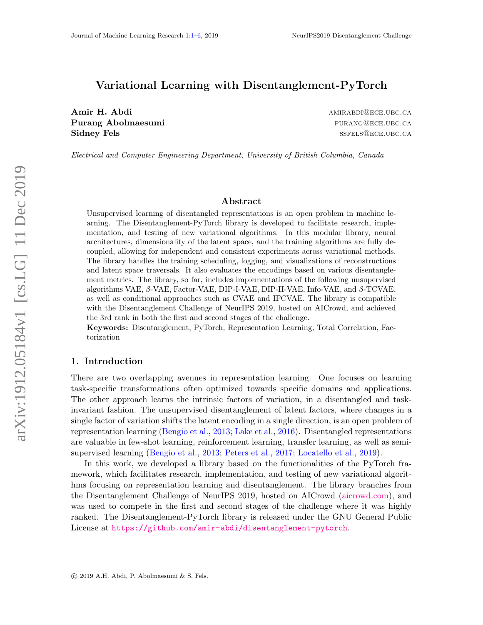#### <span id="page-0-0"></span>Variational Learning with Disentanglement-PyTorch

Amir H. Abdi amir Shekara amir Shekara amir Amir Amir Abdi amir Shekara amir Amir Amir Abdi amir Abdi amir Abd Purang Abolmaesumi **purang Abolmaesumi** purang purang purang purang purang purang purang purang purang purang purang purang purang purang purang purang purang purang purang purang purang purang purang purang purang purang Sidney Fels and the state of the state of the state of the state of the state of the state of the state of the state of the state of the state of the state of the state of the state of the state of the state of the state o

Electrical and Computer Engineering Department, University of British Columbia, Canada

#### Abstract

Unsupervised learning of disentangled representations is an open problem in machine learning. The Disentanglement-PyTorch library is developed to facilitate research, implementation, and testing of new variational algorithms. In this modular library, neural architectures, dimensionality of the latent space, and the training algorithms are fully decoupled, allowing for independent and consistent experiments across variational methods. The library handles the training scheduling, logging, and visualizations of reconstructions and latent space traversals. It also evaluates the encodings based on various disentanglement metrics. The library, so far, includes implementations of the following unsupervised algorithms VAE, β-VAE, Factor-VAE, DIP-I-VAE, DIP-II-VAE, Info-VAE, and β-TCVAE, as well as conditional approaches such as CVAE and IFCVAE. The library is compatible with the Disentanglement Challenge of NeurIPS 2019, hosted on AICrowd, and achieved the 3rd rank in both the first and second stages of the challenge.

Keywords: Disentanglement, PyTorch, Representation Learning, Total Correlation, Factorization

#### 1. Introduction

There are two overlapping avenues in representation learning. One focuses on learning task-specific transformations often optimized towards specific domains and applications. The other approach learns the intrinsic factors of variation, in a disentangled and taskinvariant fashion. The unsupervised disentanglement of latent factors, where changes in a single factor of variation shifts the latent encoding in a single direction, is an open problem of representation learning [\(Bengio et al.,](#page-3-0) [2013;](#page-3-0) [Lake et al.,](#page-3-1) [2016\)](#page-3-1). Disentangled representations are valuable in few-shot learning, reinforcement learning, transfer learning, as well as semisupervised learning [\(Bengio et al.,](#page-3-0) [2013;](#page-3-0) [Peters et al.,](#page-4-0) [2017;](#page-4-0) [Locatello et al.,](#page-3-2) [2019\)](#page-3-2).

In this work, we developed a library based on the functionalities of the PyTorch framework, which facilitates research, implementation, and testing of new variational algorithms focusing on representation learning and disentanglement. The library branches from the Disentanglement Challenge of NeurIPS 2019, hosted on AICrowd [\(aicrowd.com\)](https://www.aicrowd.com), and was used to compete in the first and second stages of the challenge where it was highly ranked. The Disentanglement-PyTorch library is released under the GNU General Public License at <https://github.com/amir-abdi/disentanglement-pytorch>.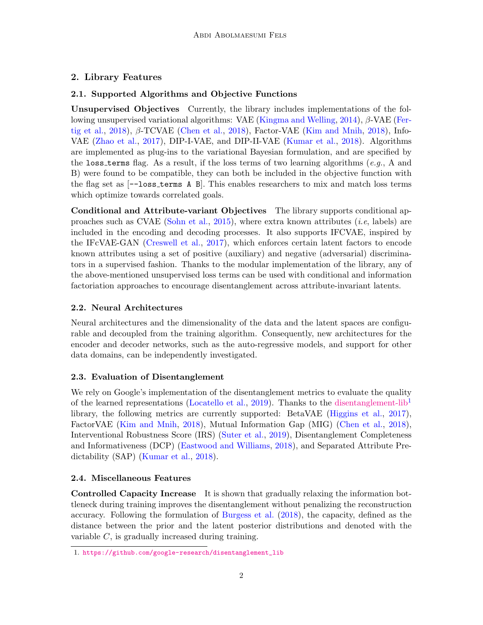# 2. Library Features

## 2.1. Supported Algorithms and Objective Functions

Unsupervised Objectives Currently, the library includes implementations of the following unsupervised variational algorithms: VAE [\(Kingma and Welling,](#page-3-3) [2014\)](#page-3-3), β-VAE [\(Fer](#page-3-4)[tig et al.,](#page-3-4) [2018\)](#page-3-6), β-TCVAE [\(Chen et al.,](#page-3-5) 2018), Factor-VAE [\(Kim and Mnih,](#page-3-6) 2018), Info-VAE [\(Zhao et al.,](#page-4-1) [2017\)](#page-4-1), DIP-I-VAE, and DIP-II-VAE [\(Kumar et al.,](#page-3-7) [2018\)](#page-3-7). Algorithms are implemented as plug-ins to the variational Bayesian formulation, and are specified by the loss terms flag. As a result, if the loss terms of two learning algorithms (e.g., A and B) were found to be compatible, they can both be included in the objective function with the flag set as [--loss terms A B]. This enables researchers to mix and match loss terms which optimize towards correlated goals.

Conditional and Attribute-variant Objectives The library supports conditional ap-proaches such as CVAE [\(Sohn et al.,](#page-4-2) [2015\)](#page-4-2), where extra known attributes  $(i.e.,$  labels) are included in the encoding and decoding processes. It also supports IFCVAE, inspired by the IFcVAE-GAN [\(Creswell et al.,](#page-3-8) [2017\)](#page-3-8), which enforces certain latent factors to encode known attributes using a set of positive (auxiliary) and negative (adversarial) discriminators in a supervised fashion. Thanks to the modular implementation of the library, any of the above-mentioned unsupervised loss terms can be used with conditional and information factoriation approaches to encourage disentanglement across attribute-invariant latents.

# 2.2. Neural Architectures

Neural architectures and the dimensionality of the data and the latent spaces are configurable and decoupled from the training algorithm. Consequently, new architectures for the encoder and decoder networks, such as the auto-regressive models, and support for other data domains, can be independently investigated.

## 2.3. Evaluation of Disentanglement

We rely on Google's implementation of the disentanglement metrics to evaluate the quality of the learned representations [\(Locatello et al.,](#page-3-2) [2019\)](#page-3-2). Thanks to the [disentanglement-lib](https://github.com/google-research/disentanglement_lib)<sup>[1](#page-1-0)</sup> library, the following metrics are currently supported: BetaVAE [\(Higgins et al.,](#page-3-9) [2017\)](#page-3-9), FactorVAE [\(Kim and Mnih,](#page-3-6) [2018\)](#page-3-6), Mutual Information Gap (MIG) [\(Chen et al.,](#page-3-5) [2018\)](#page-3-5), Interventional Robustness Score (IRS) [\(Suter et al.,](#page-4-3) [2019\)](#page-4-3), Disentanglement Completeness and Informativeness (DCP) [\(Eastwood and Williams,](#page-3-10) [2018\)](#page-3-10), and Separated Attribute Predictability (SAP) [\(Kumar et al.,](#page-3-7) [2018\)](#page-3-7).

## 2.4. Miscellaneous Features

Controlled Capacity Increase It is shown that gradually relaxing the information bottleneck during training improves the disentanglement without penalizing the reconstruction accuracy. Following the formulation of [Burgess et al.](#page-3-11) [\(2018\)](#page-3-11), the capacity, defined as the distance between the prior and the latent posterior distributions and denoted with the variable  $C$ , is gradually increased during training.

<span id="page-1-0"></span><sup>1.</sup> [https://github.com/google-research/disentanglement\\_lib](https://github.com/google-research/disentanglement_lib)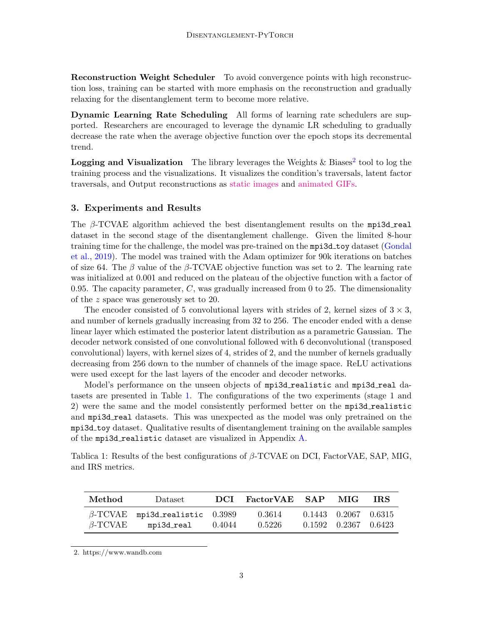Reconstruction Weight Scheduler To avoid convergence points with high reconstruction loss, training can be started with more emphasis on the reconstruction and gradually relaxing for the disentanglement term to become more relative.

Dynamic Learning Rate Scheduling All forms of learning rate schedulers are supported. Researchers are encouraged to leverage the dynamic LR scheduling to gradually decrease the rate when the average objective function over the epoch stops its decremental trend.

**Logging and Visualization** The library leverages the Weights & Biases<sup>[2](#page-2-0)</sup> tool to log the training process and the visualizations. It visualizes the condition's traversals, latent factor traversals, and Output reconstructions as [static images](https://app.wandb.ai/amirabdi/disentanglement-pytorch/runs/8k9dsisu?workspace=user-amirabdi) and [animated GIFs.](https://github.com/amir-abdi/disentanglement-pytorch/blob/master/sample_results/mpi3d_realistic_VAE/gif_rand0.gif?raw=true)

#### 3. Experiments and Results

The  $\beta$ -TCVAE algorithm achieved the best disentanglement results on the mpi3d real dataset in the second stage of the disentanglement challenge. Given the limited 8-hour training time for the challenge, the model was pre-trained on the mpi3d toy dataset [\(Gondal](#page-3-12) [et al.,](#page-3-12) [2019\)](#page-3-12). The model was trained with the Adam optimizer for 90k iterations on batches of size 64. The  $\beta$  value of the  $\beta$ -TCVAE objective function was set to 2. The learning rate was initialized at 0.001 and reduced on the plateau of the objective function with a factor of 0.95. The capacity parameter,  $C$ , was gradually increased from 0 to 25. The dimensionality of the z space was generously set to 20.

The encoder consisted of 5 convolutional layers with strides of 2, kernel sizes of  $3 \times 3$ , and number of kernels gradually increasing from 32 to 256. The encoder ended with a dense linear layer which estimated the posterior latent distribution as a parametric Gaussian. The decoder network consisted of one convolutional followed with 6 deconvolutional (transposed convolutional) layers, with kernel sizes of 4, strides of 2, and the number of kernels gradually decreasing from 256 down to the number of channels of the image space. ReLU activations were used except for the last layers of the encoder and decoder networks.

Model's performance on the unseen objects of mpi3d realistic and mpi3d real datasets are presented in Table [1.](#page-2-1) The configurations of the two experiments (stage 1 and 2) were the same and the model consistently performed better on the  $mpi3d$ -realistic and mpi3d\_real datasets. This was unexpected as the model was only pretrained on the mpi3d toy dataset. Qualitative results of disentanglement training on the available samples of the mpi3d realistic dataset are visualized in Appendix [A.](#page-5-1)

<span id="page-2-1"></span>Tablica 1: Results of the best configurations of  $\beta$ -TCVAE on DCI, FactorVAE, SAP, MIG, and IRS metrics.

| Method         | Dataset                               | DCL    | FactorVAE SAP | MIG.                       | TRS. |
|----------------|---------------------------------------|--------|---------------|----------------------------|------|
|                | $\beta$ -TCVAE mpi3d_realistic 0.3989 |        | 0.3614        | $0.1443$ $0.2067$ $0.6315$ |      |
| $\beta$ -TCVAE | mpi3d_real                            | 0.4044 | 0.5226        | $0.1592$ $0.2367$ $0.6423$ |      |

<span id="page-2-0"></span>2. https://www.wandb.com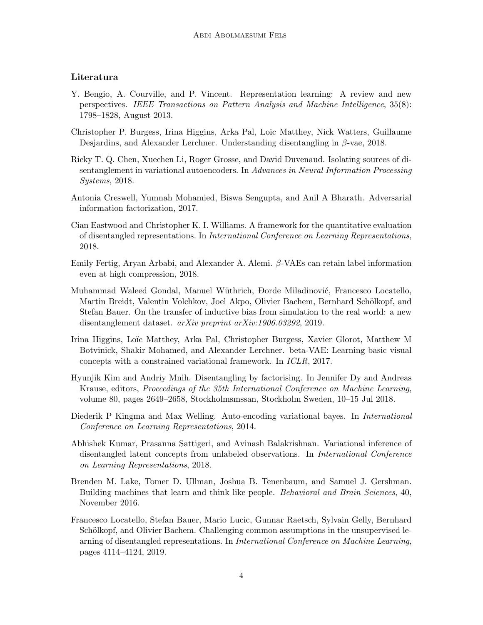#### Literatura

- <span id="page-3-0"></span>Y. Bengio, A. Courville, and P. Vincent. Representation learning: A review and new perspectives. IEEE Transactions on Pattern Analysis and Machine Intelligence, 35(8): 1798–1828, August 2013.
- <span id="page-3-11"></span>Christopher P. Burgess, Irina Higgins, Arka Pal, Loic Matthey, Nick Watters, Guillaume Desjardins, and Alexander Lerchner. Understanding disentangling in β-vae, 2018.
- <span id="page-3-5"></span>Ricky T. Q. Chen, Xuechen Li, Roger Grosse, and David Duvenaud. Isolating sources of disentanglement in variational autoencoders. In Advances in Neural Information Processing Systems, 2018.
- <span id="page-3-8"></span>Antonia Creswell, Yumnah Mohamied, Biswa Sengupta, and Anil A Bharath. Adversarial information factorization, 2017.
- <span id="page-3-10"></span>Cian Eastwood and Christopher K. I. Williams. A framework for the quantitative evaluation of disentangled representations. In International Conference on Learning Representations, 2018.
- <span id="page-3-4"></span>Emily Fertig, Aryan Arbabi, and Alexander A. Alemi.  $\beta$ -VAEs can retain label information even at high compression, 2018.
- <span id="page-3-12"></span>Muhammad Waleed Gondal, Manuel Wüthrich, Đorđe Miladinović, Francesco Locatello, Martin Breidt, Valentin Volchkov, Joel Akpo, Olivier Bachem, Bernhard Schölkopf, and Stefan Bauer. On the transfer of inductive bias from simulation to the real world: a new disentanglement dataset. arXiv preprint arXiv:1906.03292, 2019.
- <span id="page-3-9"></span>Irina Higgins, Loïc Matthey, Arka Pal, Christopher Burgess, Xavier Glorot, Matthew M Botvinick, Shakir Mohamed, and Alexander Lerchner. beta-VAE: Learning basic visual concepts with a constrained variational framework. In ICLR, 2017.
- <span id="page-3-6"></span>Hyunjik Kim and Andriy Mnih. Disentangling by factorising. In Jennifer Dy and Andreas Krause, editors, Proceedings of the 35th International Conference on Machine Learning, volume 80, pages 2649–2658, Stockholmsmssan, Stockholm Sweden, 10–15 Jul 2018.
- <span id="page-3-3"></span>Diederik P Kingma and Max Welling. Auto-encoding variational bayes. In International Conference on Learning Representations, 2014.
- <span id="page-3-7"></span>Abhishek Kumar, Prasanna Sattigeri, and Avinash Balakrishnan. Variational inference of disentangled latent concepts from unlabeled observations. In International Conference on Learning Representations, 2018.
- <span id="page-3-1"></span>Brenden M. Lake, Tomer D. Ullman, Joshua B. Tenenbaum, and Samuel J. Gershman. Building machines that learn and think like people. Behavioral and Brain Sciences, 40, November 2016.
- <span id="page-3-2"></span>Francesco Locatello, Stefan Bauer, Mario Lucic, Gunnar Raetsch, Sylvain Gelly, Bernhard Schölkopf, and Olivier Bachem. Challenging common assumptions in the unsupervised learning of disentangled representations. In International Conference on Machine Learning, pages 4114–4124, 2019.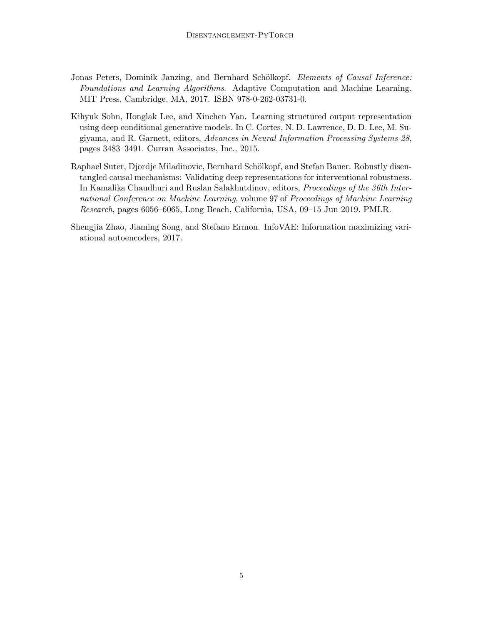- <span id="page-4-0"></span>Jonas Peters, Dominik Janzing, and Bernhard Schölkopf. Elements of Causal Inference: Foundations and Learning Algorithms. Adaptive Computation and Machine Learning. MIT Press, Cambridge, MA, 2017. ISBN 978-0-262-03731-0.
- <span id="page-4-2"></span>Kihyuk Sohn, Honglak Lee, and Xinchen Yan. Learning structured output representation using deep conditional generative models. In C. Cortes, N. D. Lawrence, D. D. Lee, M. Sugiyama, and R. Garnett, editors, Advances in Neural Information Processing Systems 28, pages 3483–3491. Curran Associates, Inc., 2015.
- <span id="page-4-3"></span>Raphael Suter, Djordje Miladinovic, Bernhard Schölkopf, and Stefan Bauer. Robustly disentangled causal mechanisms: Validating deep representations for interventional robustness. In Kamalika Chaudhuri and Ruslan Salakhutdinov, editors, Proceedings of the 36th International Conference on Machine Learning, volume 97 of Proceedings of Machine Learning Research, pages 6056–6065, Long Beach, California, USA, 09–15 Jun 2019. PMLR.
- <span id="page-4-1"></span>Shengjia Zhao, Jiaming Song, and Stefano Ermon. InfoVAE: Information maximizing variational autoencoders, 2017.